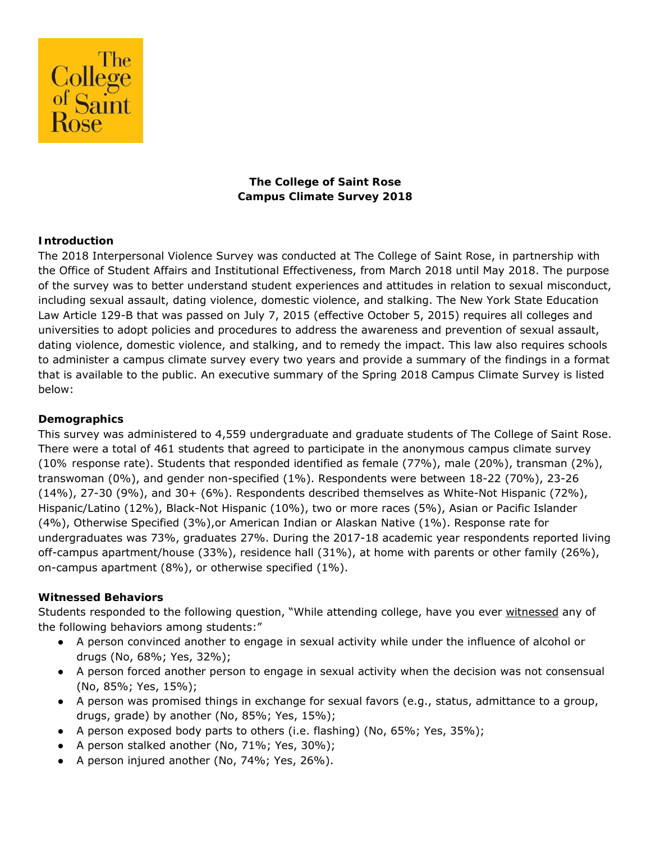

# **The College of Saint Rose Campus Climate Survey 2018**

### **Introduction**

The 2018 Interpersonal Violence Survey was conducted at The College of Saint Rose, in partnership with the Office of Student Affairs and Institutional Effectiveness, from March 2018 until May 2018. The purpose of the survey was to better understand student experiences and attitudes in relation to sexual misconduct, including sexual assault, dating violence, domestic violence, and stalking. The New York State Education Law Article 129-B that was passed on July 7, 2015 (effective October 5, 2015) requires all colleges and universities to adopt policies and procedures to address the awareness and prevention of sexual assault, dating violence, domestic violence, and stalking, and to remedy the impact. This law also requires schools to administer a campus climate survey every two years and provide a summary of the findings in a format that is available to the public. An executive summary of the Spring 2018 Campus Climate Survey is listed below:

#### **Demographics**

This survey was administered to 4,559 undergraduate and graduate students of The College of Saint Rose. There were a total of 461 students that agreed to participate in the anonymous campus climate survey (*10% response rate*). Students that responded identified as female (77%), male (20%), transman (2%), transwoman (0%), and gender non-specified (1%). Respondents were between 18-22 (70%), 23-26 (14%), 27-30 (9%), and 30+ (6%). Respondents described themselves as White-Not Hispanic (72%), Hispanic/Latino (12%), Black-Not Hispanic (10%), two or more races (5%), Asian or Pacific Islander (4%), Otherwise Specified (3%),or American Indian or Alaskan Native (1%). Response rate for undergraduates was 73%, graduates 27%. During the 2017-18 academic year respondents reported living off-campus apartment/house (33%), residence hall (31%), at home with parents or other family (26%), on-campus apartment (8%), or otherwise specified (1%).

#### **Witnessed Behaviors**

Students responded to the following question, "While attending college, have you ever witnessed any of the following behaviors among students:"

- A person convinced another to engage in sexual activity while under the influence of alcohol or drugs (No, 68%; Yes, 32%);
- A person forced another person to engage in sexual activity when the decision was not consensual (No, 85%; Yes, 15%);
- A person was promised things in exchange for sexual favors (e.g., status, admittance to a group, drugs, grade) by another (No, 85%; Yes, 15%);
- A person exposed body parts to others (i.e. flashing) (No, 65%; Yes, 35%);
- A person stalked another (No,  $71\%$ ; Yes,  $30\%$ );
- A person injured another (No, 74%; Yes, 26%).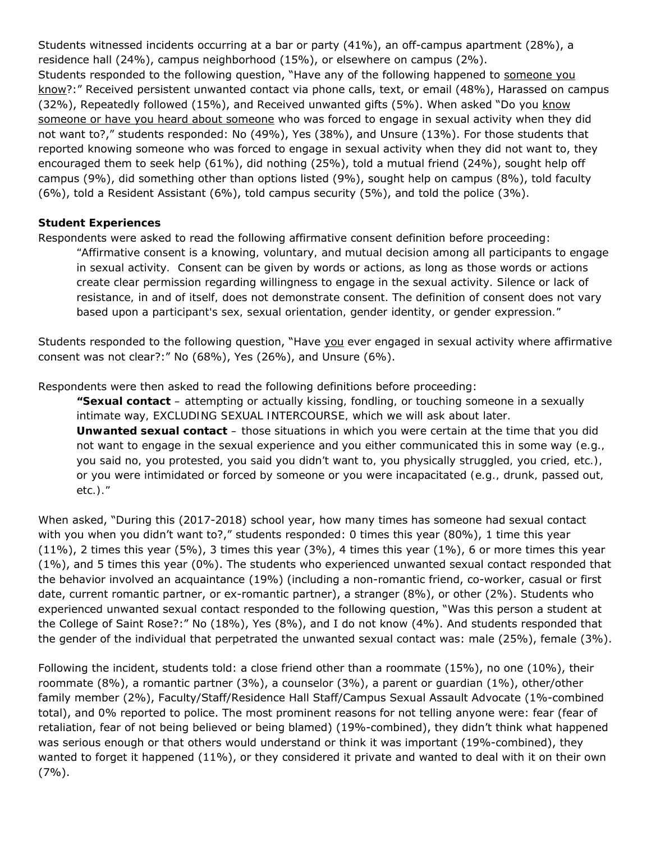Students witnessed incidents occurring at a bar or party (41%), an off-campus apartment (28%), a residence hall (24%), campus neighborhood (15%), or elsewhere on campus (2%). Students responded to the following question, "Have any of the following happened to someone you know?:" Received persistent unwanted contact via phone calls, text, or email (48%), Harassed on campus (32%), Repeatedly followed (15%), and Received unwanted gifts (5%). When asked "Do you know someone or have you heard about someone who was forced to engage in sexual activity when they did not want to?," students responded: No (49%), Yes (38%), and Unsure (13%). For those students that reported knowing someone who was forced to engage in sexual activity when they did not want to, they encouraged them to seek help (61%), did nothing (25%), told a mutual friend (24%), sought help off campus (9%), did something other than options listed (9%), sought help on campus (8%), told faculty (6%), told a Resident Assistant (6%), told campus security (5%), and told the police (3%).

### **Student Experiences**

Respondents were asked to read the following affirmative consent definition before proceeding:

*"Affirmative consent is a knowing, voluntary, and mutual decision among all participants to engage in sexual activity. Consent can be given by words or actions, as long as those words or actions create clear permission regarding willingness to engage in the sexual activity. Silence or lack of resistance, in and of itself, does not demonstrate consent. The definition of consent does not vary based upon a participant's sex, sexual orientation, gender identity, or gender expression."* 

Students responded to the following question, "Have you ever engaged in sexual activity where affirmative consent was not clear?:" No (68%), Yes (26%), and Unsure (6%).

Respondents were then asked to read the following definitions before proceeding:

*"Sexual contact – attempting or actually kissing, fondling, or touching someone in a sexually intimate way, EXCLUDING SEXUAL INTERCOURSE, which we will ask about later. Unwanted sexual contact – those situations in which you were certain at the time that you did not want to engage in the sexual experience and you either communicated this in some way (e.g., you said no, you protested, you said you didn't want to, you physically struggled, you cried, etc.), or you were intimidated or forced by someone or you were incapacitated (e.g., drunk, passed out, etc.)."* 

When asked, "During this (2017-2018) school year, how many times has someone had sexual contact with you when you didn't want to?," students responded: 0 times this year (80%), 1 time this year (11%), 2 times this year (5%), 3 times this year (3%), 4 times this year (1%), 6 or more times this year (1%), and 5 times this year (0%). The students who experienced unwanted sexual contact responded that the behavior involved an acquaintance (19%) (including a non-romantic friend, co-worker, casual or first date, current romantic partner, or ex-romantic partner), a stranger (8%), or other (2%). Students who experienced unwanted sexual contact responded to the following question, "Was this person a student at the College of Saint Rose?:" No (18%), Yes (8%), and I do not know (4%). And students responded that the gender of the individual that perpetrated the unwanted sexual contact was: male (25%), female (3%).

Following the incident, students told: a close friend other than a roommate (15%), no one (10%), their roommate (8%), a romantic partner (3%), a counselor (3%), a parent or guardian (1%), other/other family member (2%), Faculty/Staff/Residence Hall Staff/Campus Sexual Assault Advocate (1%-combined total), and 0% reported to police. The most prominent reasons for not telling anyone were: fear (fear of retaliation, fear of not being believed or being blamed) (19%-combined), they didn't think what happened was serious enough or that others would understand or think it was important (19%-combined), they wanted to forget it happened (11%), or they considered it private and wanted to deal with it on their own (7%).